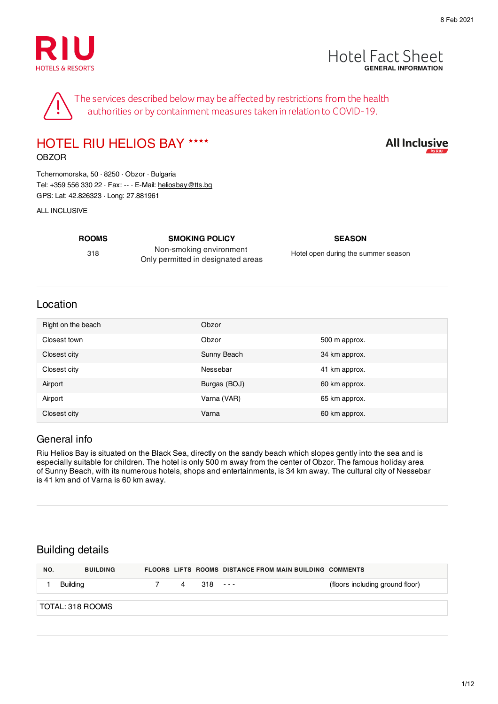



**All Inclusive** 

The services described below may be affected by restrictions from the health authorities or by containment measures taken in relation to COVID-19.

# HOTEL RIU HELIOS BAY ★★★★

OBZOR

Tchernomorska, 50 · 8250 · Obzor · Bulgaria Tel: +359 556 330 22 · Fax: -- · E-Mail: heliosbay@tts.bg GPS: Lat: 42.826323 · Long: 27.881961

#### ALL INCLUSIVE

**ROOMS SMOKING POLICY SEASON** 318

Non-smoking environment Only permitted in designated areas

Hotel open during the summer season

#### Location

| Right on the beach | Obzor        |               |
|--------------------|--------------|---------------|
| Closest town       | Obzor        | 500 m approx. |
| Closest city       | Sunny Beach  | 34 km approx. |
| Closest city       | Nessebar     | 41 km approx. |
| Airport            | Burgas (BOJ) | 60 km approx. |
| Airport            | Varna (VAR)  | 65 km approx. |
| Closest city       | Varna        | 60 km approx. |

#### General info

Riu Helios Bay is situated on the Black Sea, directly on the sandy beach which slopes gently into the sea and is especially suitable for children. The hotel is only 500 m away from the center of Obzor. The famous holiday area of Sunny Beach, with its numerous hotels, shops and entertainments, is 34 km away. The cultural city of Nessebar is 41 km and of Varna is 60 km away.

#### Building details

| NO. | <b>BUILDING</b>  |   |           | <b>FLOORS LIFTS ROOMS DISTANCE FROM MAIN BUILDING COMMENTS</b> |                                 |
|-----|------------------|---|-----------|----------------------------------------------------------------|---------------------------------|
|     | Building         | 4 | $318 - -$ |                                                                | (floors including ground floor) |
|     | TOTAL: 318 ROOMS |   |           |                                                                |                                 |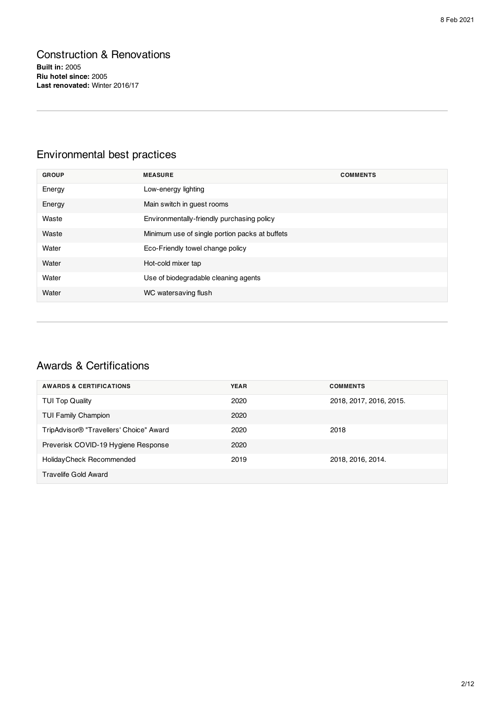# Construction & Renovations

**Built in:** 2005 **Riu hotel since:** 2005 **Last renovated:** Winter 2016/17

# Environmental best practices

| <b>GROUP</b> | <b>MEASURE</b>                                 | <b>COMMENTS</b> |
|--------------|------------------------------------------------|-----------------|
| Energy       | Low-energy lighting                            |                 |
| Energy       | Main switch in guest rooms                     |                 |
| Waste        | Environmentally-friendly purchasing policy     |                 |
| Waste        | Minimum use of single portion packs at buffets |                 |
| Water        | Eco-Friendly towel change policy               |                 |
| Water        | Hot-cold mixer tap                             |                 |
| Water        | Use of biodegradable cleaning agents           |                 |
| Water        | WC watersaving flush                           |                 |

# Awards & Certifications

| <b>AWARDS &amp; CERTIFICATIONS</b>      | <b>YEAR</b> | <b>COMMENTS</b>         |
|-----------------------------------------|-------------|-------------------------|
| <b>TUI Top Quality</b>                  | 2020        | 2018, 2017, 2016, 2015. |
| <b>TUI Family Champion</b>              | 2020        |                         |
| TripAdvisor® "Travellers' Choice" Award | 2020        | 2018                    |
| Preverisk COVID-19 Hygiene Response     | 2020        |                         |
| Holiday Check Recommended               | 2019        | 2018, 2016, 2014.       |
| Travelife Gold Award                    |             |                         |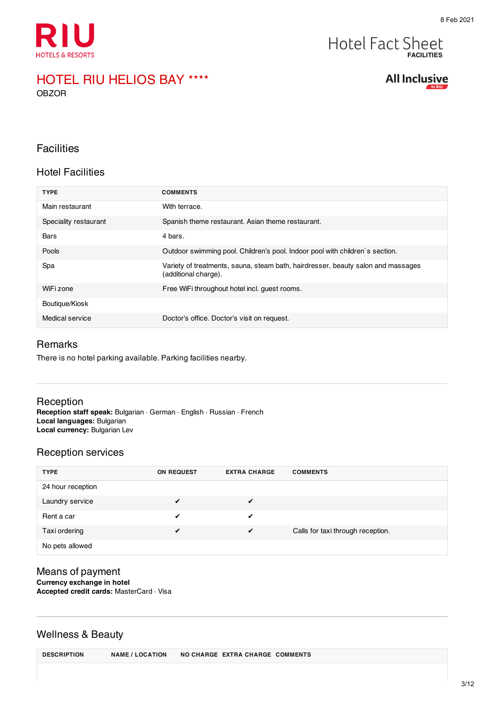

#### **Hotel Fact Sheet FACILITIES**

#### HOTEL RIU HELIOS BAY ★★★★ OBZOR

**All Inclusive** 

#### **Facilities**

#### Hotel Facilities

| <b>TYPE</b>           | <b>COMMENTS</b>                                                                                          |
|-----------------------|----------------------------------------------------------------------------------------------------------|
| Main restaurant       | With terrace.                                                                                            |
| Speciality restaurant | Spanish theme restaurant. Asian theme restaurant.                                                        |
| Bars                  | 4 bars.                                                                                                  |
| Pools                 | Outdoor swimming pool. Children's pool. Indoor pool with children's section.                             |
| Spa                   | Variety of treatments, sauna, steam bath, hairdresser, beauty salon and massages<br>(additional charge). |
| WiFi zone             | Free WiFi throughout hotel incl. quest rooms.                                                            |
| Boutique/Kiosk        |                                                                                                          |
| Medical service       | Doctor's office. Doctor's visit on request.                                                              |

#### Remarks

There is no hotel parking available. Parking facilities nearby.

#### Reception

**Reception staff speak:** Bulgarian · German · English · Russian · French **Local languages:** Bulgarian **Local currency:** Bulgarian Lev

#### Reception services

| <b>TYPE</b>       | ON REQUEST | <b>EXTRA CHARGE</b> | <b>COMMENTS</b>                   |
|-------------------|------------|---------------------|-----------------------------------|
| 24 hour reception |            |                     |                                   |
| Laundry service   |            | $\sqrt{ }$          |                                   |
| Rent a car        | ✔          | ✔                   |                                   |
| Taxi ordering     |            | $\checkmark$        | Calls for taxi through reception. |
| No pets allowed   |            |                     |                                   |

#### Means of payment **Currency exchange in hotel Accepted credit cards:** MasterCard · Visa

#### Wellness & Beauty

| <b>DESCRIPTION</b> | <b>NAME / LOCATION</b> |  | NO CHARGE EXTRA CHARGE COMMENTS |  |
|--------------------|------------------------|--|---------------------------------|--|
|--------------------|------------------------|--|---------------------------------|--|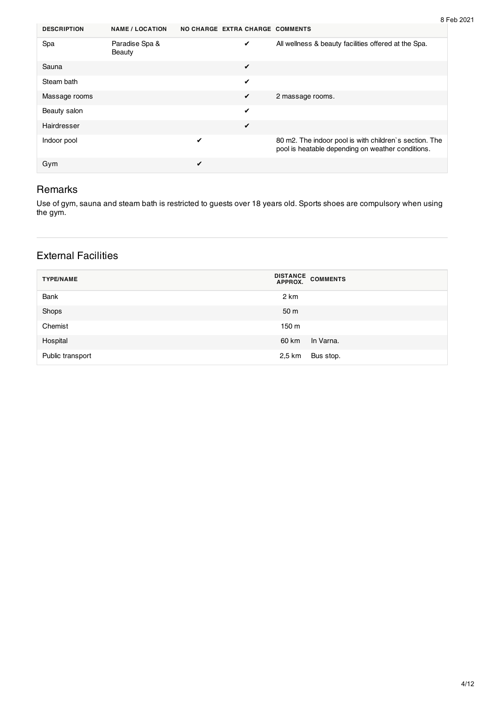| 8 Feb 2021 |
|------------|
|------------|

| <b>DESCRIPTION</b> | <b>NAME / LOCATION</b>          | NO CHARGE EXTRA CHARGE COMMENTS |   |                                                                                                             |
|--------------------|---------------------------------|---------------------------------|---|-------------------------------------------------------------------------------------------------------------|
| Spa                | Paradise Spa &<br><b>Beauty</b> |                                 | ✔ | All wellness & beauty facilities offered at the Spa.                                                        |
| Sauna              |                                 |                                 | ✔ |                                                                                                             |
| Steam bath         |                                 |                                 | ✔ |                                                                                                             |
| Massage rooms      |                                 |                                 | ✔ | 2 massage rooms.                                                                                            |
| Beauty salon       |                                 |                                 | ✔ |                                                                                                             |
| Hairdresser        |                                 |                                 | ✔ |                                                                                                             |
| Indoor pool        |                                 | ✔                               |   | 80 m2. The indoor pool is with children's section. The<br>pool is heatable depending on weather conditions. |
| Gym                |                                 | ✔                               |   |                                                                                                             |

#### Remarks

Use of gym, sauna and steam bath is restricted to guests over 18 years old. Sports shoes are compulsory when using the gym.

### External Facilities

| <b>TYPE/NAME</b> | DISTANCE COMMENTS<br>APPROX. |
|------------------|------------------------------|
| Bank             | 2 km                         |
| Shops            | 50 m                         |
| Chemist          | 150 m                        |
| Hospital         | In Varna.<br>60 km           |
| Public transport | Bus stop.<br>2,5 km          |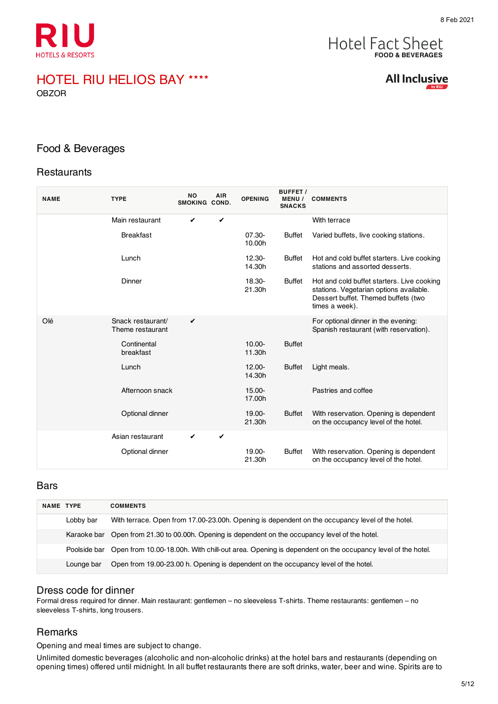

# **FOOD & BEVERAGES**

# HOTEL RIU HELIOS BAY ★★★★

OBZOR

#### Food & Beverages

#### **Restaurants**

| <b>NAME</b> | <b>TYPE</b>                           | <b>NO</b><br>SMOKING COND. | <b>AIR</b>   | <b>OPENING</b>      | <b>BUFFET /</b><br><b>MENU/</b><br><b>SNACKS</b> | <b>COMMENTS</b>                                                                                                                                |
|-------------|---------------------------------------|----------------------------|--------------|---------------------|--------------------------------------------------|------------------------------------------------------------------------------------------------------------------------------------------------|
|             | Main restaurant                       | ✔                          | ✓            |                     |                                                  | With terrace                                                                                                                                   |
|             | <b>Breakfast</b>                      |                            |              | 07.30-<br>10.00h    | <b>Buffet</b>                                    | Varied buffets, live cooking stations.                                                                                                         |
|             | Lunch                                 |                            |              | $12.30 -$<br>14.30h | <b>Buffet</b>                                    | Hot and cold buffet starters. Live cooking<br>stations and assorted desserts.                                                                  |
|             | Dinner                                |                            |              | 18.30-<br>21.30h    | <b>Buffet</b>                                    | Hot and cold buffet starters. Live cooking<br>stations. Vegetarian options available.<br>Dessert buffet. Themed buffets (two<br>times a week). |
| Olé         | Snack restaurant/<br>Theme restaurant | ✔                          |              |                     |                                                  | For optional dinner in the evening:<br>Spanish restaurant (with reservation).                                                                  |
|             | Continental<br>breakfast              |                            |              | $10.00 -$<br>11.30h | <b>Buffet</b>                                    |                                                                                                                                                |
|             | Lunch                                 |                            |              | $12.00 -$<br>14.30h | <b>Buffet</b>                                    | Light meals.                                                                                                                                   |
|             | Afternoon snack                       |                            |              | 15.00-<br>17.00h    |                                                  | Pastries and coffee                                                                                                                            |
|             | Optional dinner                       |                            |              | $19.00 -$<br>21.30h | <b>Buffet</b>                                    | With reservation. Opening is dependent<br>on the occupancy level of the hotel.                                                                 |
|             | Asian restaurant                      | ✔                          | $\checkmark$ |                     |                                                  |                                                                                                                                                |
|             | Optional dinner                       |                            |              | 19.00-<br>21.30h    | <b>Buffet</b>                                    | With reservation. Opening is dependent<br>on the occupancy level of the hotel.                                                                 |

#### Bars

| <b>NAME TYPE</b> |            | <b>COMMENTS</b>                                                                                                     |
|------------------|------------|---------------------------------------------------------------------------------------------------------------------|
|                  | Lobby bar  | With terrace. Open from 17.00-23.00h. Opening is dependent on the occupancy level of the hotel.                     |
|                  |            | Karaoke bar Open from 21.30 to 00.00h. Opening is dependent on the occupancy level of the hotel.                    |
|                  |            | Poolside bar Open from 10.00-18.00h. With chill-out area. Opening is dependent on the occupancy level of the hotel. |
|                  | Lounge bar | Open from 19.00-23.00 h. Opening is dependent on the occupancy level of the hotel.                                  |

#### Dress code for dinner

Formal dress required for dinner. Main restaurant: gentlemen – no sleeveless T-shirts. Theme restaurants: gentlemen – no sleeveless T-shirts, long trousers.

#### **Remarks**

Opening and meal times are subject to change.

Unlimited domestic beverages (alcoholic and non-alcoholic drinks) at the hotel bars and restaurants (depending on opening times) offered until midnight. In all buffet restaurants there are soft drinks, water, beer and wine. Spirits are to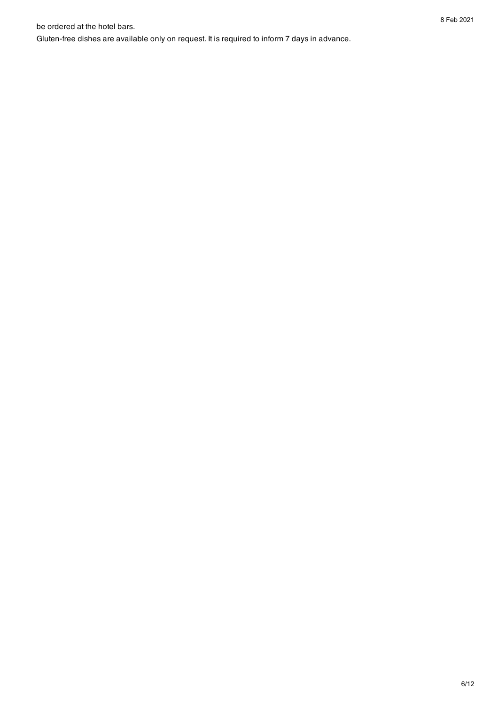be ordered at the hotel bars.

be ordered at the hotel bars.<br>Gluten-free dishes are available only on request. It is required to inform 7 days in advance.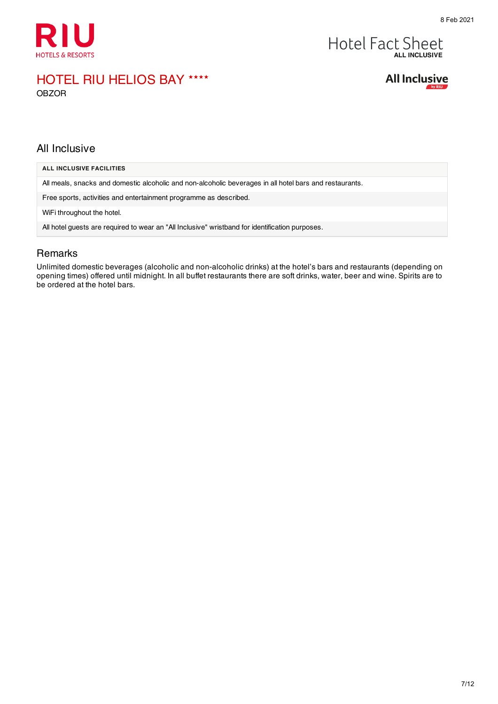

# Hotel Fact Sheet

### HOTEL RIU HELIOS BAY ★★★★ OBZOR



#### All Inclusive

| ALL INCLUSIVE FACILITIES                                                                                |
|---------------------------------------------------------------------------------------------------------|
| All meals, snacks and domestic alcoholic and non-alcoholic beverages in all hotel bars and restaurants. |
| Free sports, activities and entertainment programme as described.                                       |
| WiFi throughout the hotel.                                                                              |
| All hotel guests are required to wear an "All Inclusive" wristband for identification purposes.         |
|                                                                                                         |

#### Remarks

Unlimited domestic beverages (alcoholic and non-alcoholic drinks) at the hotel's bars and restaurants (depending on opening times) offered until midnight. In all buffet restaurants there are soft drinks, water, beer and wine. Spirits are to be ordered at the hotel bars.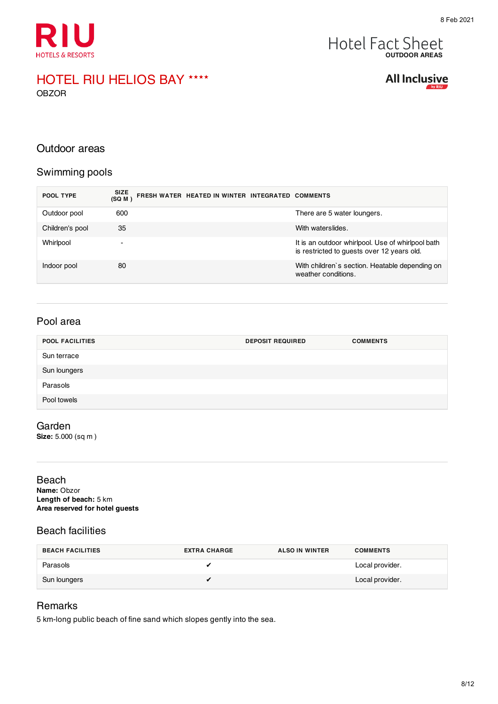

# **Hotel Fact Sheet**

#### HOTEL RIU HELIOS BAY ★★★★ OBZOR

**All Inclusive** 

#### Outdoor areas

#### Swimming pools

| POOL TYPE       | <b>SIZE</b><br>FRESH WATER HEATED IN WINTER INTEGRATED COMMENTS<br>(SQM) |                                                                                                 |
|-----------------|--------------------------------------------------------------------------|-------------------------------------------------------------------------------------------------|
| Outdoor pool    | 600                                                                      | There are 5 water loungers.                                                                     |
| Children's pool | 35                                                                       | With waterslides.                                                                               |
| Whirlpool       | $\overline{\phantom{0}}$                                                 | It is an outdoor whirlpool. Use of whirlpool bath<br>is restricted to guests over 12 years old. |
| Indoor pool     | 80                                                                       | With children's section. Heatable depending on<br>weather conditions.                           |

#### Pool area

| <b>POOL FACILITIES</b> | <b>DEPOSIT REQUIRED</b> | <b>COMMENTS</b> |
|------------------------|-------------------------|-----------------|
| Sun terrace            |                         |                 |
| Sun loungers           |                         |                 |
| Parasols               |                         |                 |
| Pool towels            |                         |                 |

#### Garden

**Size:** 5.000 (sq m )

#### Beach **Name:** Obzor **Length of beach:** 5 km **Area reserved for hotel guests**

#### Beach facilities

| <b>BEACH FACILITIES</b> | <b>EXTRA CHARGE</b> | <b>ALSO IN WINTER</b> | <b>COMMENTS</b> |
|-------------------------|---------------------|-----------------------|-----------------|
| Parasols                |                     |                       | Local provider. |
| Sun loungers            |                     |                       | Local provider. |

#### Remarks

5 km-long public beach of fine sand which slopes gently into the sea.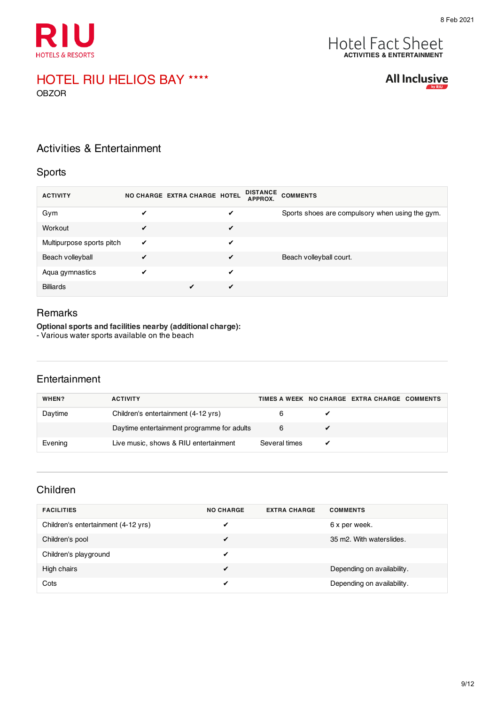

# **ACTIVITIES & ENTERTAINMENT**

# HOTEL RIU HELIOS BAY ★★★★

OBZOR

**All Inclusive** 

### Activities & Entertainment

#### Sports

| <b>ACTIVITY</b>           |   | NO CHARGE EXTRA CHARGE HOTEL |   | <b>DISTANCE</b><br><b>APPROX.</b> | <b>COMMENTS</b>                                 |
|---------------------------|---|------------------------------|---|-----------------------------------|-------------------------------------------------|
| Gym                       | ✔ |                              | ✔ |                                   | Sports shoes are compulsory when using the gym. |
| Workout                   | ✔ |                              | ✔ |                                   |                                                 |
| Multipurpose sports pitch | ✔ |                              | ✔ |                                   |                                                 |
| Beach volleyball          | ✔ |                              | ✔ |                                   | Beach volleyball court.                         |
| Aqua gymnastics           | ✔ |                              | ✔ |                                   |                                                 |
| <b>Billiards</b>          |   |                              | ✔ |                                   |                                                 |

#### Remarks

**Optional sports and facilities nearby (additional charge):**

- Various water sports available on the beach

#### **Entertainment**

| WHEN?   | <b>ACTIVITY</b>                            |               | TIMES A WEEK NO CHARGE EXTRA CHARGE COMMENTS |  |
|---------|--------------------------------------------|---------------|----------------------------------------------|--|
| Daytime | Children's entertainment (4-12 yrs)        |               |                                              |  |
|         | Daytime entertainment programme for adults |               |                                              |  |
| Evening | Live music, shows & RIU entertainment      | Several times |                                              |  |

#### Children

| <b>FACILITIES</b>                   | <b>NO CHARGE</b> | <b>EXTRA CHARGE</b> | <b>COMMENTS</b>            |
|-------------------------------------|------------------|---------------------|----------------------------|
| Children's entertainment (4-12 yrs) |                  |                     | 6 x per week.              |
| Children's pool                     | ✔                |                     | 35 m2. With waterslides.   |
| Children's playground               | ✔                |                     |                            |
| High chairs                         | ✔                |                     | Depending on availability. |
| Cots                                | ✔                |                     | Depending on availability. |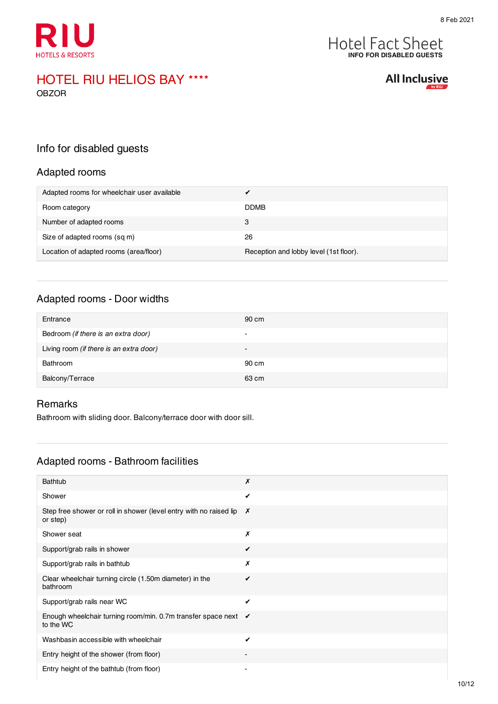



#### HOTEL RIU HELIOS BAY ★★★★ OBZOR

**All Inclusive** 

## Info for disabled guests

#### Adapted rooms

| Adapted rooms for wheelchair user available |                                        |
|---------------------------------------------|----------------------------------------|
| Room category                               | <b>DDMB</b>                            |
| Number of adapted rooms                     | 3                                      |
| Size of adapted rooms (sq m)                | 26                                     |
| Location of adapted rooms (area/floor)      | Reception and lobby level (1st floor). |

#### Adapted rooms - Door widths

| Entrance                                | 90 cm                    |
|-----------------------------------------|--------------------------|
| Bedroom (if there is an extra door)     | $\overline{\phantom{0}}$ |
| Living room (if there is an extra door) | $\sim$                   |
| Bathroom                                | 90 cm                    |
| Balcony/Terrace                         | 63 cm                    |

#### Remarks

Bathroom with sliding door. Balcony/terrace door with door sill.

#### Adapted rooms - Bathroom facilities

| Bathtub                                                                                 | Х |
|-----------------------------------------------------------------------------------------|---|
| Shower                                                                                  | ✔ |
| Step free shower or roll in shower (level entry with no raised lip $\bm{X}$<br>or step) |   |
| Shower seat                                                                             | Х |
| Support/grab rails in shower                                                            | ✔ |
| Support/grab rails in bathtub                                                           | Х |
| Clear wheelchair turning circle (1.50m diameter) in the<br>bathroom                     | ✔ |
| Support/grab rails near WC                                                              | ✔ |
| Enough wheelchair turning room/min. 0.7m transfer space next $\checkmark$<br>to the WC  |   |
| Washbasin accessible with wheelchair                                                    | ✔ |
| Entry height of the shower (from floor)                                                 |   |
| Entry height of the bathtub (from floor)                                                |   |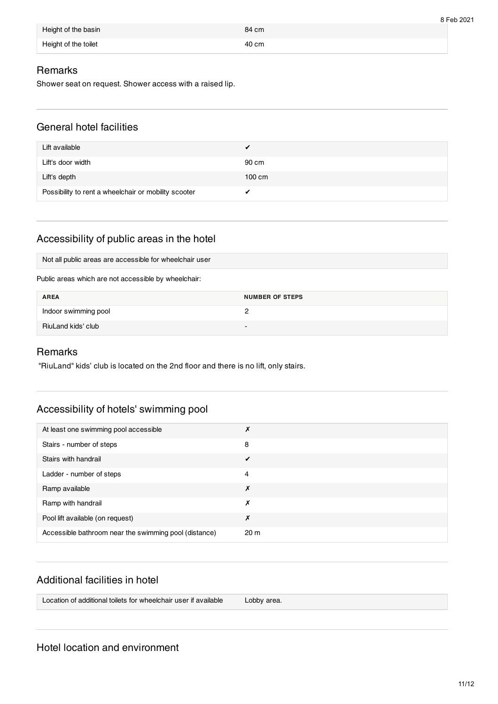|                      |       | 8 Feb 2021 |
|----------------------|-------|------------|
| Height of the basin  | 84 cm |            |
| Height of the toilet | 40 cm |            |

#### **Remarks**

Shower seat on request. Shower access with a raised lip.

#### General hotel facilities

| Lift available                                       | ✔                |
|------------------------------------------------------|------------------|
| Lift's door width                                    | 90 cm            |
| Lift's depth                                         | $100 \text{ cm}$ |
| Possibility to rent a wheelchair or mobility scooter |                  |

# Accessibility of public areas in the hotel

Not all public areas are accessible for wheelchair user

Public areas which are not accessible by wheelchair:

| <b>AREA</b>          | <b>NUMBER OF STEPS</b> |
|----------------------|------------------------|
| Indoor swimming pool |                        |
| RiuLand kids' club   |                        |

#### Remarks

"RiuLand" kids' club is located on the 2nd floor and there is no lift, only stairs.

#### Accessibility of hotels' swimming pool

| At least one swimming pool accessible                 | ↗               |
|-------------------------------------------------------|-----------------|
| Stairs - number of steps                              | 8               |
| Stairs with handrail                                  | ✔               |
| Ladder - number of steps                              | 4               |
| Ramp available                                        | Х               |
| Ramp with handrail                                    | Х               |
| Pool lift available (on request)                      | Х               |
| Accessible bathroom near the swimming pool (distance) | 20 <sub>m</sub> |

#### Additional facilities in hotel

Location of additional toilets for wheelchair user if available Lobby area.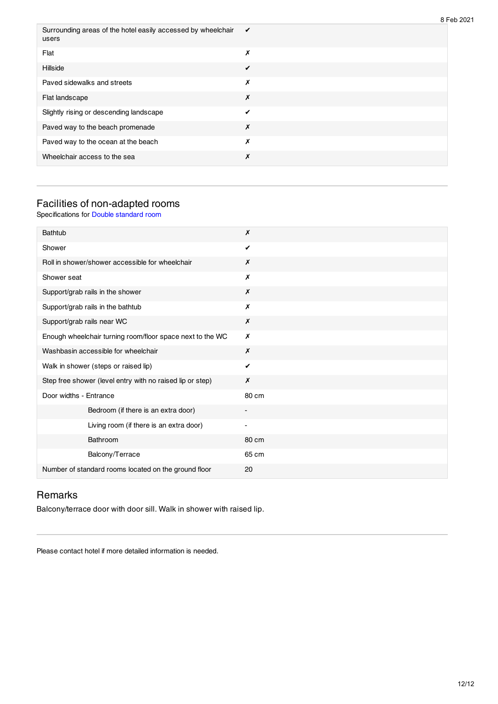| Surrounding areas of the hotel easily accessed by wheelchair<br>users | ✔ |
|-----------------------------------------------------------------------|---|
| Flat                                                                  | Х |
| Hillside                                                              | ✔ |
| Paved sidewalks and streets                                           | х |
| Flat landscape                                                        | Х |
| Slightly rising or descending landscape                               | ✔ |
| Paved way to the beach promenade                                      | Х |
| Paved way to the ocean at the beach                                   | X |
| Wheelchair access to the sea                                          | Х |
|                                                                       |   |

#### Facilities of non-adapted rooms

Specifications for Double standard room

| <b>Bathtub</b>                                            | X                        |
|-----------------------------------------------------------|--------------------------|
| Shower                                                    | ✓                        |
| Roll in shower/shower accessible for wheelchair           | Х                        |
| Shower seat                                               | X                        |
| Support/grab rails in the shower                          | X                        |
| Support/grab rails in the bathtub                         | Х                        |
| Support/grab rails near WC                                | Х                        |
| Enough wheelchair turning room/floor space next to the WC | X                        |
| Washbasin accessible for wheelchair                       | Х                        |
| Walk in shower (steps or raised lip)                      | ✔                        |
| Step free shower (level entry with no raised lip or step) | X                        |
| Door widths - Entrance                                    | 80 cm                    |
| Bedroom (if there is an extra door)                       |                          |
| Living room (if there is an extra door)                   | $\overline{\phantom{0}}$ |
| Bathroom                                                  | 80 cm                    |
| Balcony/Terrace                                           | 65 cm                    |
| Number of standard rooms located on the ground floor      | 20                       |

## Remarks

Balcony/terrace door with door sill. Walk in shower with raised lip.

Please contact hotel if more detailed information is needed.